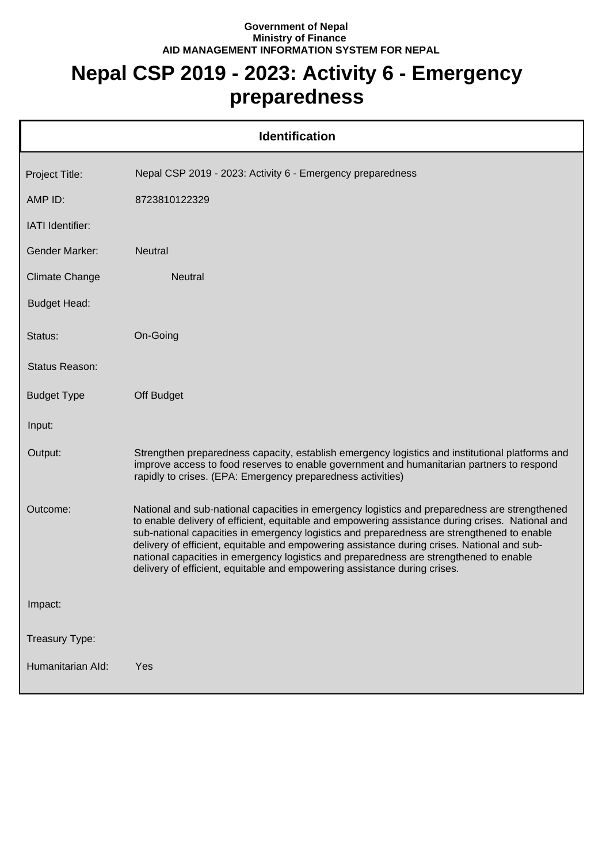## **Government of Nepal Ministry of Finance AID MANAGEMENT INFORMATION SYSTEM FOR NEPAL**

## **Nepal CSP 2019 - 2023: Activity 6 - Emergency preparedness**

| <b>Identification</b> |                                                                                                                                                                                                                                                                                                                                                                                                                                                                                                                                                                       |  |
|-----------------------|-----------------------------------------------------------------------------------------------------------------------------------------------------------------------------------------------------------------------------------------------------------------------------------------------------------------------------------------------------------------------------------------------------------------------------------------------------------------------------------------------------------------------------------------------------------------------|--|
| Project Title:        | Nepal CSP 2019 - 2023: Activity 6 - Emergency preparedness                                                                                                                                                                                                                                                                                                                                                                                                                                                                                                            |  |
| AMP ID:               | 8723810122329                                                                                                                                                                                                                                                                                                                                                                                                                                                                                                                                                         |  |
| IATI Identifier:      |                                                                                                                                                                                                                                                                                                                                                                                                                                                                                                                                                                       |  |
| <b>Gender Marker:</b> | <b>Neutral</b>                                                                                                                                                                                                                                                                                                                                                                                                                                                                                                                                                        |  |
| <b>Climate Change</b> | Neutral                                                                                                                                                                                                                                                                                                                                                                                                                                                                                                                                                               |  |
| <b>Budget Head:</b>   |                                                                                                                                                                                                                                                                                                                                                                                                                                                                                                                                                                       |  |
| Status:               | On-Going                                                                                                                                                                                                                                                                                                                                                                                                                                                                                                                                                              |  |
| Status Reason:        |                                                                                                                                                                                                                                                                                                                                                                                                                                                                                                                                                                       |  |
| <b>Budget Type</b>    | Off Budget                                                                                                                                                                                                                                                                                                                                                                                                                                                                                                                                                            |  |
| Input:                |                                                                                                                                                                                                                                                                                                                                                                                                                                                                                                                                                                       |  |
| Output:               | Strengthen preparedness capacity, establish emergency logistics and institutional platforms and<br>improve access to food reserves to enable government and humanitarian partners to respond<br>rapidly to crises. (EPA: Emergency preparedness activities)                                                                                                                                                                                                                                                                                                           |  |
| Outcome:              | National and sub-national capacities in emergency logistics and preparedness are strengthened<br>to enable delivery of efficient, equitable and empowering assistance during crises. National and<br>sub-national capacities in emergency logistics and preparedness are strengthened to enable<br>delivery of efficient, equitable and empowering assistance during crises. National and sub-<br>national capacities in emergency logistics and preparedness are strengthened to enable<br>delivery of efficient, equitable and empowering assistance during crises. |  |
| Impact:               |                                                                                                                                                                                                                                                                                                                                                                                                                                                                                                                                                                       |  |
| Treasury Type:        |                                                                                                                                                                                                                                                                                                                                                                                                                                                                                                                                                                       |  |
| Humanitarian Ald:     | Yes                                                                                                                                                                                                                                                                                                                                                                                                                                                                                                                                                                   |  |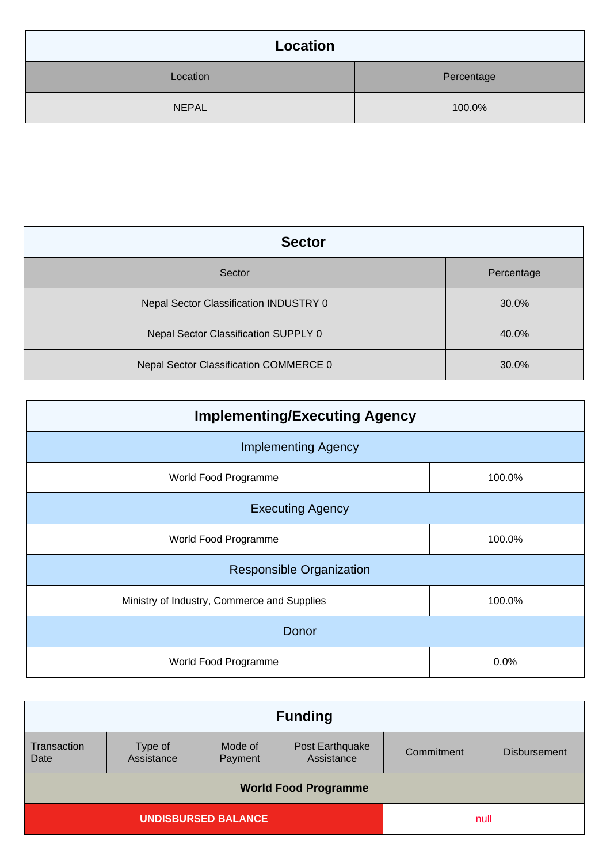| Location     |            |  |
|--------------|------------|--|
| Location     | Percentage |  |
| <b>NEPAL</b> | 100.0%     |  |

| <b>Sector</b>                          |            |  |
|----------------------------------------|------------|--|
| Sector                                 | Percentage |  |
| Nepal Sector Classification INDUSTRY 0 | 30.0%      |  |
| Nepal Sector Classification SUPPLY 0   | 40.0%      |  |
| Nepal Sector Classification COMMERCE 0 | 30.0%      |  |

| <b>Implementing/Executing Agency</b>        |        |  |  |
|---------------------------------------------|--------|--|--|
| <b>Implementing Agency</b>                  |        |  |  |
| World Food Programme                        | 100.0% |  |  |
| <b>Executing Agency</b>                     |        |  |  |
| World Food Programme                        | 100.0% |  |  |
| <b>Responsible Organization</b>             |        |  |  |
| Ministry of Industry, Commerce and Supplies | 100.0% |  |  |
| Donor                                       |        |  |  |
| World Food Programme                        | 0.0%   |  |  |

| <b>Funding</b>              |                       |                    |                               |            |                     |
|-----------------------------|-----------------------|--------------------|-------------------------------|------------|---------------------|
| Transaction<br>Date         | Type of<br>Assistance | Mode of<br>Payment | Post Earthquake<br>Assistance | Commitment | <b>Disbursement</b> |
| <b>World Food Programme</b> |                       |                    |                               |            |                     |
| <b>UNDISBURSED BALANCE</b>  |                       | null               |                               |            |                     |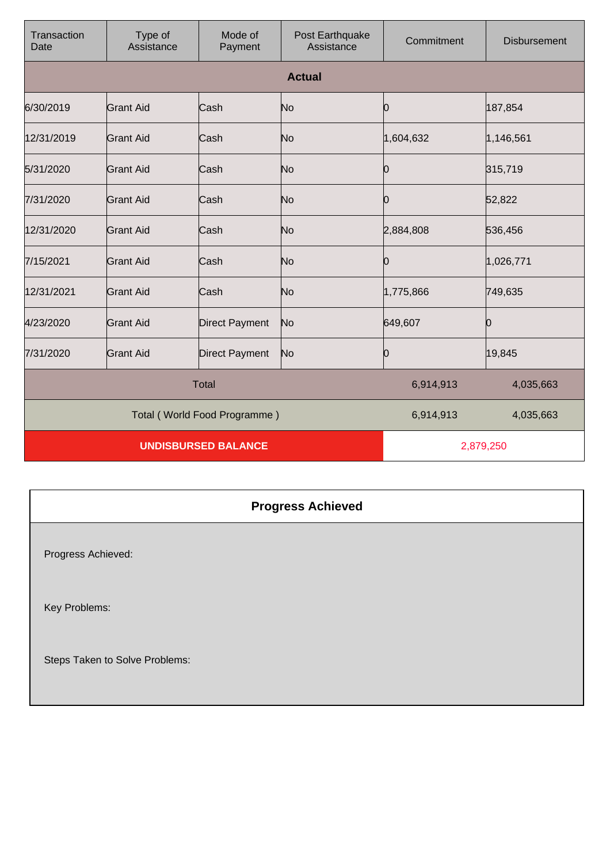| Transaction<br>Date          | Type of<br>Assistance | Mode of<br>Payment    | Post Earthquake<br>Assistance | Commitment | <b>Disbursement</b> |
|------------------------------|-----------------------|-----------------------|-------------------------------|------------|---------------------|
|                              |                       |                       | <b>Actual</b>                 |            |                     |
| 6/30/2019                    | Grant Aid             | Cash                  | No                            | 0          | 187,854             |
| 12/31/2019                   | <b>Grant Aid</b>      | Cash                  | No                            | 1,604,632  | 1,146,561           |
| 5/31/2020                    | Grant Aid             | Cash                  | No                            | 0          | 315,719             |
| 7/31/2020                    | Grant Aid             | Cash                  | No                            | 0          | 52,822              |
| 12/31/2020                   | <b>Grant Aid</b>      | Cash                  | No                            | 2,884,808  | 536,456             |
| 7/15/2021                    | <b>Grant Aid</b>      | Cash                  | No                            | 0          | 1,026,771           |
| 12/31/2021                   | <b>Grant Aid</b>      | Cash                  | No                            | 1,775,866  | 749,635             |
| 4/23/2020                    | <b>Grant Aid</b>      | <b>Direct Payment</b> | No                            | 649,607    | 0                   |
| 7/31/2020                    | <b>Grant Aid</b>      | <b>Direct Payment</b> | No                            | 0          | 19,845              |
| <b>Total</b>                 |                       |                       | 6,914,913                     | 4,035,663  |                     |
| Total (World Food Programme) |                       |                       | 6,914,913                     | 4,035,663  |                     |
| <b>UNDISBURSED BALANCE</b>   |                       |                       | 2,879,250                     |            |                     |

## **Progress Achieved**

Progress Achieved:

Key Problems:

Steps Taken to Solve Problems: